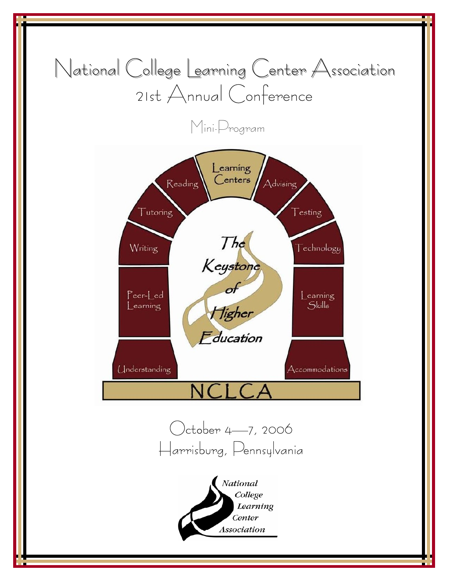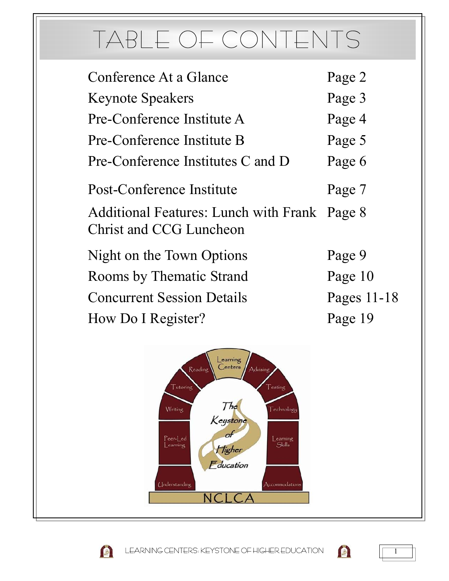# TABLE OF CONTENTS

| Conference At a Glance                                                         | Page 2      |
|--------------------------------------------------------------------------------|-------------|
| <b>Keynote Speakers</b>                                                        | Page 3      |
| Pre-Conference Institute A                                                     | Page 4      |
| Pre-Conference Institute B                                                     | Page 5      |
| Pre-Conference Institutes C and D                                              | Page 6      |
| Post-Conference Institute                                                      | Page 7      |
| Additional Features: Lunch with Frank Page 8<br><b>Christ and CCG Luncheon</b> |             |
| Night on the Town Options                                                      | Page 9      |
| Rooms by Thematic Strand                                                       | Page 10     |
| <b>Concurrent Session Details</b>                                              | Pages 11-18 |
| How Do I Register?                                                             | Page 19     |
|                                                                                |             |





LEARNING CENTERS: KEYSTONE OF HIGHER EDUCATION



1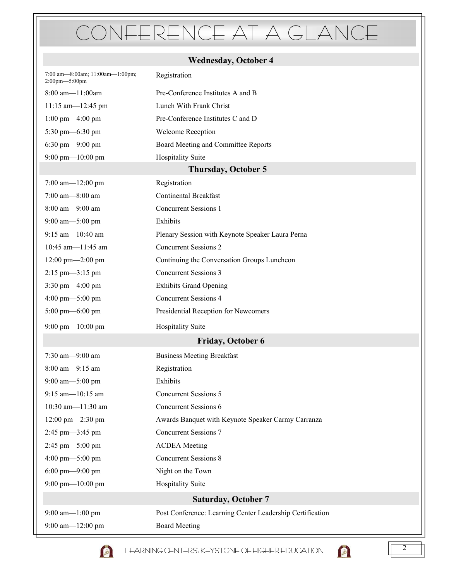# CONFERENCE AT A GLANCE

|                                                  | <b>Wednesday, October 4</b>                               |  |  |
|--------------------------------------------------|-----------------------------------------------------------|--|--|
| 7:00 am-8:00am; 11:00am-1:00pm;<br>2:00pm-5:00pm | Registration                                              |  |  |
| $8:00$ am $-11:00$ am                            | Pre-Conference Institutes A and B                         |  |  |
| 11:15 am- $-12:45$ pm                            | Lunch With Frank Christ                                   |  |  |
| $1:00 \text{ pm} - 4:00 \text{ pm}$              | Pre-Conference Institutes C and D                         |  |  |
| 5:30 pm-6:30 pm                                  | Welcome Reception                                         |  |  |
| 6:30 pm-9:00 pm                                  | Board Meeting and Committee Reports                       |  |  |
| $9:00$ pm $-10:00$ pm                            | <b>Hospitality Suite</b>                                  |  |  |
| <b>Thursday, October 5</b>                       |                                                           |  |  |
| 7:00 am $-12:00$ pm                              | Registration                                              |  |  |
| 7:00 am-8:00 am                                  | <b>Continental Breakfast</b>                              |  |  |
| 8:00 am-9:00 am                                  | <b>Concurrent Sessions 1</b>                              |  |  |
| $9:00$ am $-5:00$ pm                             | Exhibits                                                  |  |  |
| $9:15$ am $-10:40$ am                            | Plenary Session with Keynote Speaker Laura Perna          |  |  |
| 10:45 am-11:45 am                                | <b>Concurrent Sessions 2</b>                              |  |  |
| $12:00 \text{ pm} - 2:00 \text{ pm}$             | Continuing the Conversation Groups Luncheon               |  |  |
| $2:15 \text{ pm} - 3:15 \text{ pm}$              | <b>Concurrent Sessions 3</b>                              |  |  |
| 3:30 pm-4:00 pm                                  | <b>Exhibits Grand Opening</b>                             |  |  |
| 4:00 pm- $-5:00$ pm                              | <b>Concurrent Sessions 4</b>                              |  |  |
| 5:00 pm-6:00 pm                                  | Presidential Reception for Newcomers                      |  |  |
| $9:00$ pm $-10:00$ pm                            | <b>Hospitality Suite</b>                                  |  |  |
| <b>Friday, October 6</b>                         |                                                           |  |  |
| 7:30 am-9:00 am                                  | <b>Business Meeting Breakfast</b>                         |  |  |
| 8:00 am-9:15 am                                  | Registration                                              |  |  |
| 9:00 am-5:00 pm                                  | Exhibits                                                  |  |  |
| 9:15 am-10:15 am                                 | <b>Concurrent Sessions 5</b>                              |  |  |
| 10:30 am-11:30 am                                | <b>Concurrent Sessions 6</b>                              |  |  |
| 12:00 pm-2:30 pm                                 | Awards Banquet with Keynote Speaker Carmy Carranza        |  |  |
| 2:45 pm-3:45 pm                                  | <b>Concurrent Sessions 7</b>                              |  |  |
| 2:45 pm— $5:00$ pm                               | <b>ACDEA</b> Meeting                                      |  |  |
| 4:00 pm— $5:00$ pm                               | <b>Concurrent Sessions 8</b>                              |  |  |
| $6:00 \text{ pm}$ -9:00 pm                       | Night on the Town                                         |  |  |
| $9:00$ pm $-10:00$ pm                            | <b>Hospitality Suite</b>                                  |  |  |
| <b>Saturday, October 7</b>                       |                                                           |  |  |
| 9:00 am- $-1:00$ pm                              | Post Conference: Learning Center Leadership Certification |  |  |
| 9:00 am-12:00 pm                                 | <b>Board Meeting</b>                                      |  |  |



LEARNING CENTERS: KEYSTONE OF HIGHER EDUCATION

 $\Omega$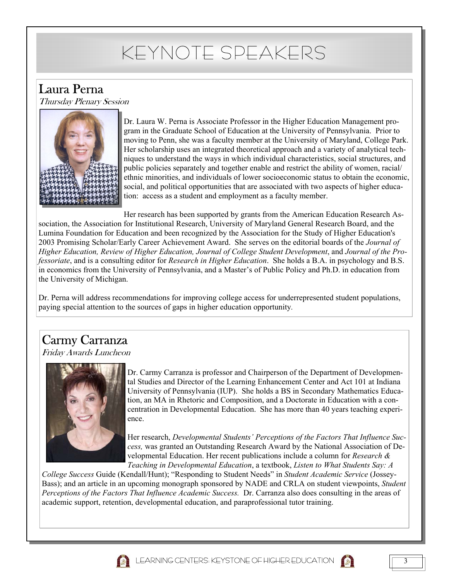# KEYNOTE SPEAKERS

# Laura Perna

Thursday Plenary Session



Dr. Laura W. Perna is Associate Professor in the Higher Education Management program in the Graduate School of Education at the University of Pennsylvania. Prior to moving to Penn, she was a faculty member at the University of Maryland, College Park. Her scholarship uses an integrated theoretical approach and a variety of analytical techniques to understand the ways in which individual characteristics, social structures, and public policies separately and together enable and restrict the ability of women, racial/ ethnic minorities, and individuals of lower socioeconomic status to obtain the economic, social, and political opportunities that are associated with two aspects of higher education: access as a student and employment as a faculty member.

Her research has been supported by grants from the American Education Research Association, the Association for Institutional Research, University of Maryland General Research Board, and the Lumina Foundation for Education and been recognized by the Association for the Study of Higher Education's 2003 Promising Scholar/Early Career Achievement Award. She serves on the editorial boards of the *Journal of Higher Education, Review of Higher Education, Journal of College Student Development*, and *Journal of the Professoriate*, and is a consulting editor for *Research in Higher Education*. She holds a B.A. in psychology and B.S. in economics from the University of Pennsylvania, and a Master's of Public Policy and Ph.D. in education from the University of Michigan.

Dr. Perna will address recommendations for improving college access for underrepresented student populations, paying special attention to the sources of gaps in higher education opportunity.

# Carmy Carranza

Friday Awards Luncheon



Dr. Carmy Carranza is professor and Chairperson of the Department of Developmental Studies and Director of the Learning Enhancement Center and Act 101 at Indiana University of Pennsylvania (IUP). She holds a BS in Secondary Mathematics Education, an MA in Rhetoric and Composition, and a Doctorate in Education with a concentration in Developmental Education. She has more than 40 years teaching experience.

Her research, *Developmental Students' Perceptions of the Factors That Influence Success,* was granted an Outstanding Research Award by the National Association of Developmental Education. Her recent publications include a column for *Research & Teaching in Developmental Education*, a textbook, *Listen to What Students Say: A* 

*College Success* Guide (Kendall/Hunt); "Responding to Student Needs" in *Student Academic Service* (Jossey-Bass); and an article in an upcoming monograph sponsored by NADE and CRLA on student viewpoints, *Student Perceptions of the Factors That Influence Academic Success.* Dr. Carranza also does consulting in the areas of academic support, retention, developmental education, and paraprofessional tutor training.



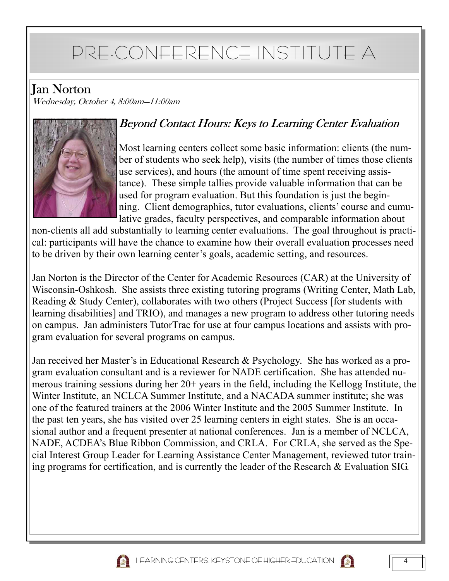# PRE-CONFERENCE INSTITUTE A

# Jan Norton

Wednesday, October 4, 8:00am—11:00am



## Beyond Contact Hours: Keys to Learning Center Evaluation

Most learning centers collect some basic information: clients (the number of students who seek help), visits (the number of times those clients use services), and hours (the amount of time spent receiving assistance). These simple tallies provide valuable information that can be used for program evaluation. But this foundation is just the beginning. Client demographics, tutor evaluations, clients' course and cumulative grades, faculty perspectives, and comparable information about

non-clients all add substantially to learning center evaluations. The goal throughout is practical: participants will have the chance to examine how their overall evaluation processes need to be driven by their own learning center's goals, academic setting, and resources.

Jan Norton is the Director of the Center for Academic Resources (CAR) at the University of Wisconsin-Oshkosh. She assists three existing tutoring programs (Writing Center, Math Lab, Reading & Study Center), collaborates with two others (Project Success [for students with learning disabilities] and TRIO), and manages a new program to address other tutoring needs on campus. Jan administers TutorTrac for use at four campus locations and assists with program evaluation for several programs on campus.

Jan received her Master's in Educational Research & Psychology. She has worked as a program evaluation consultant and is a reviewer for NADE certification. She has attended numerous training sessions during her 20+ years in the field, including the Kellogg Institute, the Winter Institute, an NCLCA Summer Institute, and a NACADA summer institute; she was one of the featured trainers at the 2006 Winter Institute and the 2005 Summer Institute. In the past ten years, she has visited over 25 learning centers in eight states. She is an occasional author and a frequent presenter at national conferences. Jan is a member of NCLCA, NADE, ACDEA's Blue Ribbon Commission, and CRLA. For CRLA, she served as the Special Interest Group Leader for Learning Assistance Center Management, reviewed tutor training programs for certification, and is currently the leader of the Research & Evaluation SIG.



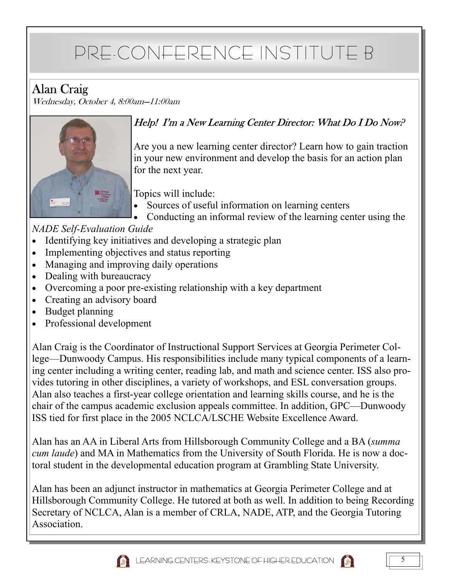# PRE-CONFERENCE INSTITUTE B

# Alan Craig

Wednesday, October 4, 8:00am—11:00am



## Help! I'm a New Learning Center Director: What Do I Do Now?

Are you a new learning center director? Learn how to gain traction in your new environment and develop the basis for an action plan for the next year.

Topics will include:

- Sources of useful information on learning centers
- Conducting an informal review of the learning center using the

## *NADE Self-Evaluation Guide*

- Identifying key initiatives and developing a strategic plan
- Implementing objectives and status reporting
- Managing and improving daily operations
- Dealing with bureaucracy
- Overcoming a poor pre-existing relationship with a key department
- Creating an advisory board
- $\bullet$  Budget planning
- Professional development

Alan Craig is the Coordinator of Instructional Support Services at Georgia Perimeter College—Dunwoody Campus. His responsibilities include many typical components of a learning center including a writing center, reading lab, and math and science center. ISS also provides tutoring in other disciplines, a variety of workshops, and ESL conversation groups. Alan also teaches a first-year college orientation and learning skills course, and he is the chair of the campus academic exclusion appeals committee. In addition, GPC—Dunwoody ISS tied for first place in the 2005 NCLCA/LSCHE Website Excellence Award.

Alan has an AA in Liberal Arts from Hillsborough Community College and a BA (*summa cum laude*) and MA in Mathematics from the University of South Florida. He is now a doctoral student in the developmental education program at Grambling State University.

Alan has been an adjunct instructor in mathematics at Georgia Perimeter College and at Hillsborough Community College. He tutored at both as well. In addition to being Recording Secretary of NCLCA, Alan is a member of CRLA, NADE, ATP, and the Georgia Tutoring Association.



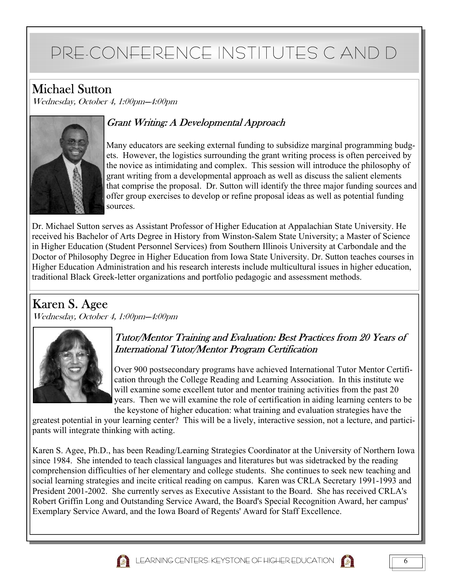# PRE-CONFERENCE INSTITUTES C AND D

# Michael Sutton

Wednesday, October 4, 1:00pm—4:00pm



## Grant Writing: A Developmental Approach

Many educators are seeking external funding to subsidize marginal programming budgets. However, the logistics surrounding the grant writing process is often perceived by the novice as intimidating and complex. This session will introduce the philosophy of grant writing from a developmental approach as well as discuss the salient elements that comprise the proposal. Dr. Sutton will identify the three major funding sources and offer group exercises to develop or refine proposal ideas as well as potential funding sources.

Dr. Michael Sutton serves as Assistant Professor of Higher Education at Appalachian State University. He received his Bachelor of Arts Degree in History from Winston-Salem State University; a Master of Science in Higher Education (Student Personnel Services) from Southern Illinois University at Carbondale and the Doctor of Philosophy Degree in Higher Education from Iowa State University. Dr. Sutton teaches courses in Higher Education Administration and his research interests include multicultural issues in higher education, traditional Black Greek-letter organizations and portfolio pedagogic and assessment methods.

# Karen S. Agee

Wednesday, October 4, 1:00pm—4:00pm



### Tutor/Mentor Training and Evaluation: Best Practices from 20 Years of International Tutor/Mentor Program Certification

Over 900 postsecondary programs have achieved International Tutor Mentor Certification through the College Reading and Learning Association. In this institute we will examine some excellent tutor and mentor training activities from the past 20 years. Then we will examine the role of certification in aiding learning centers to be the keystone of higher education: what training and evaluation strategies have the

greatest potential in your learning center? This will be a lively, interactive session, not a lecture, and participants will integrate thinking with acting.

Karen S. Agee, Ph.D., has been Reading/Learning Strategies Coordinator at the University of Northern Iowa since 1984. She intended to teach classical languages and literatures but was sidetracked by the reading comprehension difficulties of her elementary and college students. She continues to seek new teaching and social learning strategies and incite critical reading on campus. Karen was CRLA Secretary 1991-1993 and President 2001-2002. She currently serves as Executive Assistant to the Board. She has received CRLA's Robert Griffin Long and Outstanding Service Award, the Board's Special Recognition Award, her campus' Exemplary Service Award, and the Iowa Board of Regents' Award for Staff Excellence.





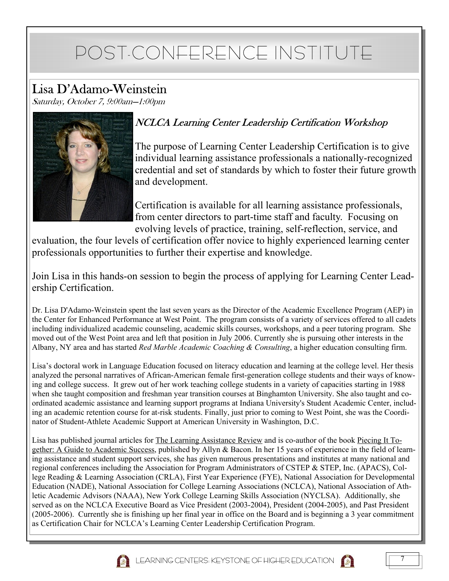# POST-CONFERENCE INSTITUTE

# Lisa D'Adamo-Weinstein

Saturday, October 7, 9:00am—1:00pm



## NCLCA Learning Center Leadership Certification Workshop

The purpose of Learning Center Leadership Certification is to give individual learning assistance professionals a nationally-recognized credential and set of standards by which to foster their future growth and development.

Certification is available for all learning assistance professionals, from center directors to part-time staff and faculty. Focusing on evolving levels of practice, training, self-reflection, service, and

evaluation, the four levels of certification offer novice to highly experienced learning center professionals opportunities to further their expertise and knowledge.

Join Lisa in this hands-on session to begin the process of applying for Learning Center Leadership Certification.

Dr. Lisa D'Adamo-Weinstein spent the last seven years as the Director of the Academic Excellence Program (AEP) in the Center for Enhanced Performance at West Point. The program consists of a variety of services offered to all cadets including individualized academic counseling, academic skills courses, workshops, and a peer tutoring program. She moved out of the West Point area and left that position in July 2006. Currently she is pursuing other interests in the Albany, NY area and has started *Red Marble Academic Coaching & Consulting*, a higher education consulting firm.

Lisa's doctoral work in Language Education focused on literacy education and learning at the college level. Her thesis analyzed the personal narratives of African-American female first-generation college students and their ways of knowing and college success. It grew out of her work teaching college students in a variety of capacities starting in 1988 when she taught composition and freshman year transition courses at Binghamton University. She also taught and coordinated academic assistance and learning support programs at Indiana University's Student Academic Center, including an academic retention course for at-risk students. Finally, just prior to coming to West Point, she was the Coordinator of Student-Athlete Academic Support at American University in Washington, D.C.

Lisa has published journal articles for The Learning Assistance Review and is co-author of the book Piecing It Together: A Guide to Academic Success, published by Allyn & Bacon. In her 15 years of experience in the field of learning assistance and student support services, she has given numerous presentations and institutes at many national and regional conferences including the Association for Program Administrators of CSTEP & STEP, Inc. (APACS), College Reading & Learning Association (CRLA), First Year Experience (FYE), National Association for Developmental Education (NADE), National Association for College Learning Associations (NCLCA), National Association of Athletic Academic Advisors (NAAA), New York College Learning Skills Association (NYCLSA). Additionally, she served as on the NCLCA Executive Board as Vice President (2003-2004), President (2004-2005), and Past President (2005-2006). Currently she is finishing up her final year in office on the Board and is beginning a 3 year commitment as Certification Chair for NCLCA's Learning Center Leadership Certification Program.



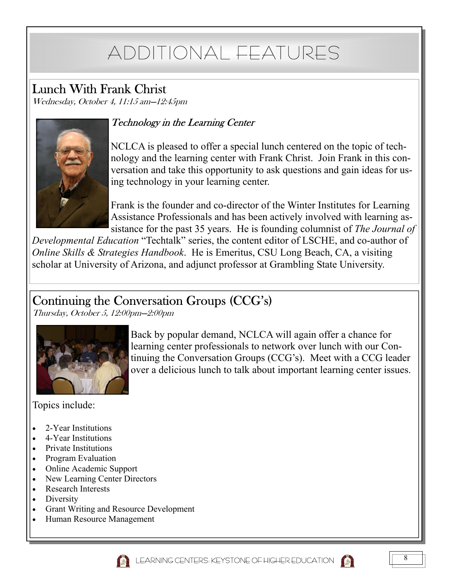# ADDITIONAL FEATURES

# Lunch With Frank Christ

Wednesday, October 4, 11:15 am—12:45pm



### Technology in the Learning Center

NCLCA is pleased to offer a special lunch centered on the topic of technology and the learning center with Frank Christ. Join Frank in this conversation and take this opportunity to ask questions and gain ideas for using technology in your learning center.

Frank is the founder and co-director of the Winter Institutes for Learning Assistance Professionals and has been actively involved with learning assistance for the past 35 years. He is founding columnist of *The Journal of* 

*Developmental Education* "Techtalk" series, the content editor of LSCHE, and co-author of *Online Skills & Strategies Handbook*. He is Emeritus, CSU Long Beach, CA, a visiting scholar at University of Arizona, and adjunct professor at Grambling State University.

# Continuing the Conversation Groups (CCG's)

Thursday, October 5, 12:00pm—2:00pm



Back by popular demand, NCLCA will again offer a chance for learning center professionals to network over lunch with our Continuing the Conversation Groups (CCG's). Meet with a CCG leader over a delicious lunch to talk about important learning center issues.

Topics include:

- 2-Year Institutions
- 4-Year Institutions
- **Private Institutions**
- **Program Evaluation**
- Online Academic Support
- New Learning Center Directors
- Research Interests
- **Diversity**
- Grant Writing and Resource Development
- Human Resource Management



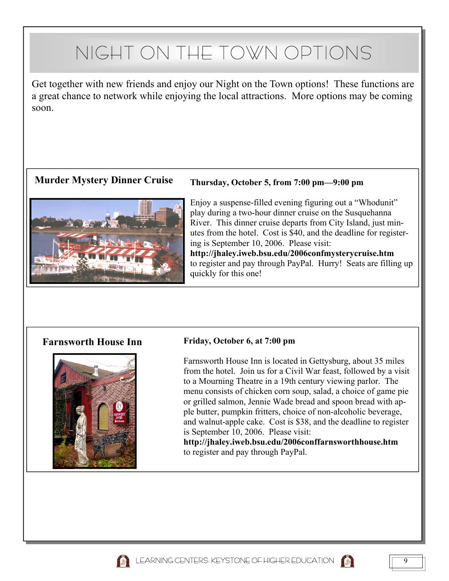# NIGHT ON THE TOWN OPTIONS

Get together with new friends and enjoy our Night on the Town options! These functions are a great chance to network while enjoying the local attractions. More options may be coming soon.

### **Murder Mystery Dinner Cruise Thursday, October 5, from 7:00 pm—9:00 pm**



Enjoy a suspense-filled evening figuring out a "Whodunit" play during a two-hour dinner cruise on the Susquehanna River. This dinner cruise departs from City Island, just minutes from the hotel. Cost is \$40, and the deadline for registering is September 10, 2006. Please visit:

**http://jhaley.iweb.bsu.edu/2006confmysterycruise.htm**  to register and pay through PayPal. Hurry! Seats are filling up quickly for this one!



#### **Farnsworth House Inn Friday, October 6, at 7:00 pm**

Farnsworth House Inn is located in Gettysburg, about 35 miles from the hotel. Join us for a Civil War feast, followed by a visit to a Mourning Theatre in a 19th century viewing parlor. The menu consists of chicken corn soup, salad, a choice of game pie or grilled salmon, Jennie Wade bread and spoon bread with apple butter, pumpkin fritters, choice of non-alcoholic beverage, and walnut-apple cake. Cost is \$38, and the deadline to register is September 10, 2006. Please visit:

**http://jhaley.iweb.bsu.edu/2006conffarnsworthhouse.htm**  to register and pay through PayPal.



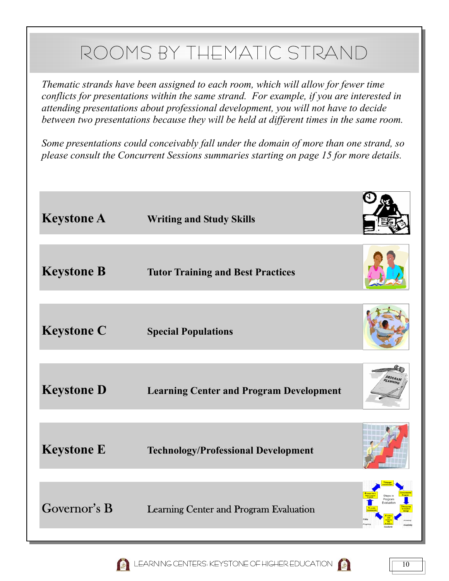# ROOMS BY THEMATIC STRAND

*Thematic strands have been assigned to each room, which will allow for fewer time conflicts for presentations within the same strand. For example, if you are interested in attending presentations about professional development, you will not have to decide between two presentations because they will be held at different times in the same room.* 

*Some presentations could conceivably fall under the domain of more than one strand, so please consult the Concurrent Sessions summaries starting on page 15 for more details.* 

| <b>Keystone A</b> | <b>Writing and Study Skills</b>                |        |
|-------------------|------------------------------------------------|--------|
| <b>Keystone B</b> | <b>Tutor Training and Best Practices</b>       |        |
| <b>Keystone C</b> | <b>Special Populations</b>                     |        |
| <b>Keystone D</b> | <b>Learning Center and Program Development</b> |        |
| <b>Keystone E</b> | <b>Technology/Professional Development</b>     |        |
| Governor's B      | <b>Learning Center and Program Evaluation</b>  | rogran |

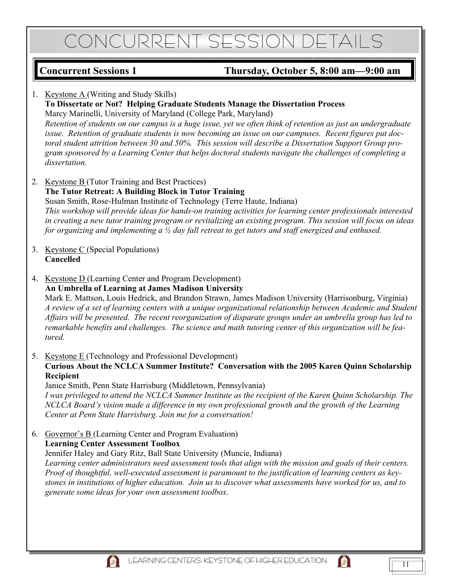### **Concurrent Sessions 1 Thursday, October 5, 8:00 am—9:00 am**

1. Keystone A (Writing and Study Skills)

## **To Dissertate or Not? Helping Graduate Students Manage the Dissertation Process**

Marcy Marinelli, University of Maryland (College Park, Maryland) *Retention of students on our campus is a huge issue, yet we often think of retention as just an undergraduate issue. Retention of graduate students is now becoming an issue on our campuses. Recent figures put doctoral student attrition between 30 and 50%. This session will describe a Dissertation Support Group program sponsored by a Learning Center that helps doctoral students navigate the challenges of completing a dissertation.* 

2. Keystone B (Tutor Training and Best Practices)

**The Tutor Retreat: A Building Block in Tutor Training** 

Susan Smith, Rose-Hulman Institute of Technology (Terre Haute, Indiana)

*This workshop will provide ideas for hands-on training activities for learning center professionals interested in creating a new tutor training program or revitalizing an existing program. This session will focus on ideas for organizing and implementing a ½ day fall retreat to get tutors and staff energized and enthused.* 

- 3. Keystone C (Special Populations) **Cancelled**
- 4. Keystone D (Learning Center and Program Development) **An Umbrella of Learning at James Madison University**  Mark E. Mattson, Louis Hedrick, and Brandon Strawn, James Madison University (Harrisonburg, Virginia) *A review of a set of learning centers with a unique organizational relationship between Academic and Student Affairs will be presented. The recent reorganization of disparate groups under an umbrella group has led to remarkable benefits and challenges. The science and math tutoring center of this organization will be featured.*

5. Keystone E (Technology and Professional Development)

**Curious About the NCLCA Summer Institute? Conversation with the 2005 Karen Quinn Scholarship Recipient** 

Janice Smith, Penn State Harrisburg (Middletown, Pennsylvania) *I was privileged to attend the NCLCA Summer Institute as the recipient of the Karen Quinn Scholarship. The NCLCA Board's vision made a difference in my own professional growth and the growth of the Learning Center at Penn State Harrisburg. Join me for a conversation!* 

6. Governor's B (Learning Center and Program Evaluation)

**Learning Center Assessment Toolbox** 

Jennifer Haley and Gary Ritz, Ball State University (Muncie, Indiana)

*Learning center administrators need assessment tools that align with the mission and goals of their centers. Proof of thoughtful, well-executed assessment is paramount to the justification of learning centers as keystones in institutions of higher education. Join us to discover what assessments have worked for us, and to generate some ideas for your own assessment toolbox.* 



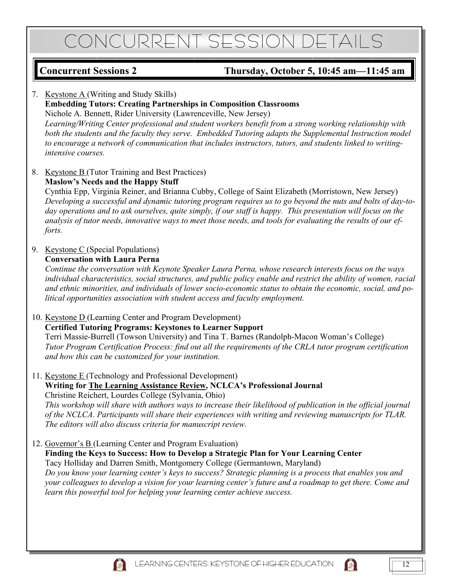### **Concurrent Sessions 2 Thursday, October 5, 10:45 am—11:45 am**

7. Keystone A (Writing and Study Skills)

#### **Embedding Tutors: Creating Partnerships in Composition Classrooms**

Nichole A. Bennett, Rider University (Lawrenceville, New Jersey) *Learning/Writing Center professional and student workers benefit from a strong working relationship with both the students and the faculty they serve. Embedded Tutoring adapts the Supplemental Instruction model to encourage a network of communication that includes instructors, tutors, and students linked to writingintensive courses.*

8. Keystone B (Tutor Training and Best Practices) **Maslow's Needs and the Happy Stuff** 

Cynthia Epp, Virginia Reiner, and Brianna Cubby, College of Saint Elizabeth (Morristown, New Jersey) *Developing a successful and dynamic tutoring program requires us to go beyond the nuts and bolts of day-today operations and to ask ourselves, quite simply, if our staff is happy. This presentation will focus on the analysis of tutor needs, innovative ways to meet those needs, and tools for evaluating the results of our efforts.* 

9. Keystone C (Special Populations)

### **Conversation with Laura Perna**

*Continue the conversation with Keynote Speaker Laura Perna, whose research interests focus on the ways individual characteristics, social structures, and public policy enable and restrict the ability of women, racial and ethnic minorities, and individuals of lower socio-economic status to obtain the economic, social, and political opportunities association with student access and faculty employment.*

### 10. Keystone D (Learning Center and Program Development)

**Certified Tutoring Programs: Keystones to Learner Support** 

Terri Massie-Burrell (Towson University) and Tina T. Barnes (Randolph-Macon Woman's College) *Tutor Program Certification Process: find out all the requirements of the CRLA tutor program certification and how this can be customized for your institution.* 

11. Keystone E (Technology and Professional Development)

**Writing for The Learning Assistance Review, NCLCA's Professional Journal**  Christine Reichert, Lourdes College (Sylvania, Ohio)

*This workshop will share with authors ways to increase their likelihood of publication in the official journal of the NCLCA. Participants will share their experiences with writing and reviewing manuscripts for TLAR. The editors will also discuss criteria for manuscript review.* 

12. Governor's B (Learning Center and Program Evaluation) **Finding the Keys to Success: How to Develop a Strategic Plan for Your Learning Center**  Tacy Holliday and Darren Smith, Montgomery College (Germantown, Maryland) *Do you know your learning center's keys to success? Strategic planning is a process that enables you and your colleagues to develop a vision for your learning center's future and a roadmap to get there. Come and learn this powerful tool for helping your learning center achieve success.* 

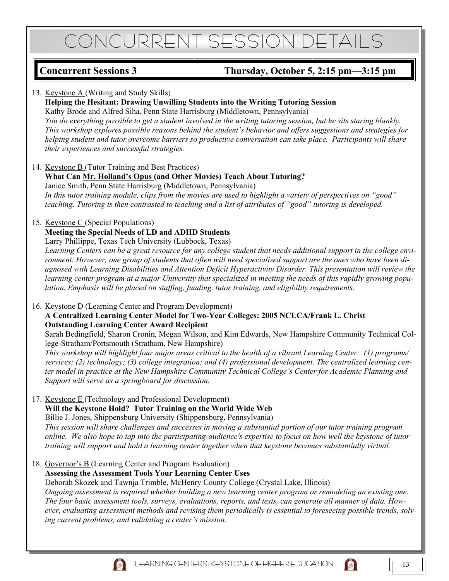### **Concurrent Sessions 3 Thursday, October 5, 2:15 pm—3:15 pm**

#### 13. Keystone A (Writing and Study Skills)

#### **Helping the Hesitant: Drawing Unwilling Students into the Writing Tutoring Session**

Kathy Brode and Alfred Siha, Penn State Harrisburg (Middletown, Pennsylvania) *You do everything possible to get a student involved in the writing tutoring session, but he sits staring blankly. This workshop explores possible reasons behind the student's behavior and offers suggestions and strategies for helping student and tutor overcome barriers so productive conversation can take place. Participants will share their experiences and successful strategies.* 

14. Keystone B (Tutor Training and Best Practices)

#### **What Can Mr. Holland's Opus (and Other Movies) Teach About Tutoring?**

Janice Smith, Penn State Harrisburg (Middletown, Pennsylvania) *In this tutor training module, clips from the movies are used to highlight a variety of perspectives on "good" teaching. Tutoring is then contrasted to teaching and a list of attributes of "good" tutoring is developed.* 

#### 15. Keystone C (Special Populations)

#### **Meeting the Special Needs of LD and ADHD Students**

Larry Phillippe, Texas Tech University (Lubbock, Texas)

*Learning Centers can be a great resource for any college student that needs additional support in the college environment. However, one group of students that often will need specialized support are the ones who have been diagnosed with Learning Disabilities and Attention Deficit Hyperactivity Disorder. This presentation will review the learning center program at a major University that specialized in meeting the needs of this rapidly growing population. Emphasis will be placed on staffing, funding, tutor training, and eligibility requirements.* 

#### 16. Keystone D (Learning Center and Program Development)

#### **A Centralized Learning Center Model for Two-Year Colleges: 2005 NCLCA/Frank L. Christ Outstanding Learning Center Award Recipient**

Sarah Bedingfield, Sharon Cronin, Megan Wilson, and Kim Edwards, New Hampshire Community Technical College-Stratham/Portsmouth (Stratham, New Hampshire)

*This workshop will highlight four major areas critical to the health of a vibrant Learning Center: (1) programs/ services; (2) technology; (3) college integration; and (4) professional development. The centralized learning center model in practice at the New Hampshire Community Technical College's Center for Academic Planning and Support will serve as a springboard for discussion.* 

17. Keystone E (Technology and Professional Development)

#### **Will the Keystone Hold? Tutor Training on the World Wide Web**

Billie J. Jones, Shippensburg University (Shippensburg, Pennsylvania) *This session will share challenges and successes in moving a substantial portion of our tutor training program online. We also hope to tap into the participating-audience's expertise to focus on how well the keystone of tutor training will support and hold a learning center together when that keystone becomes substantially virtual.* 

#### 18. Governor's B (Learning Center and Program Evaluation)

### **Assessing the Assessment Tools Your Learning Center Uses**

Deborah Skozek and Tawnja Trimble, McHenry County College (Crystal Lake, Illinois) *Ongoing assessment is required whether building a new learning center program or remodeling an existing one. The four basic assessment tools, surveys, evaluations, reports, and tests, can generate all manner of data. However, evaluating assessment methods and revising them periodically is essential to foreseeing possible trends, solving current problems, and validating a center's mission.* 

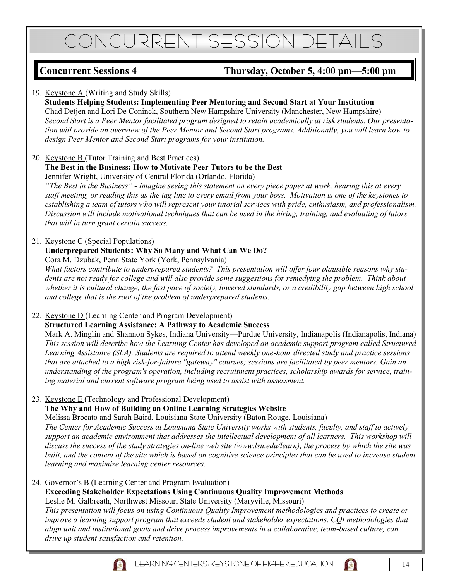### **Concurrent Sessions 4 Thursday, October 5, 4:00 pm—5:00 pm**

#### 19. Keystone A (Writing and Study Skills)

### **Students Helping Students: Implementing Peer Mentoring and Second Start at Your Institution**

Chad Detjen and Lori De Coninck, Southern New Hampshire University (Manchester, New Hampshire) *Second Start is a Peer Mentor facilitated program designed to retain academically at risk students. Our presentation will provide an overview of the Peer Mentor and Second Start programs. Additionally, you will learn how to design Peer Mentor and Second Start programs for your institution.* 

#### 20. Keystone B (Tutor Training and Best Practices)

#### **The Best in the Business: How to Motivate Peer Tutors to be the Best**  Jennifer Wright, University of Central Florida (Orlando, Florida)

*"The Best in the Business" - Imagine seeing this statement on every piece paper at work, hearing this at every staff meeting, or reading this as the tag line to every email from your boss. Motivation is one of the keystones to establishing a team of tutors who will represent your tutorial services with pride, enthusiasm, and professionalism. Discussion will include motivational techniques that can be used in the hiring, training, and evaluating of tutors that will in turn grant certain success.* 

#### 21. Keystone C (Special Populations)

#### **Underprepared Students: Why So Many and What Can We Do?**

Cora M. Dzubak, Penn State York (York, Pennsylvania)

*What factors contribute to underprepared students? This presentation will offer four plausible reasons why students are not ready for college and will also provide some suggestions for remedying the problem. Think about whether it is cultural change, the fast pace of society, lowered standards, or a credibility gap between high school and college that is the root of the problem of underprepared students.* 

#### 22. Keystone D (Learning Center and Program Development)

#### **Structured Learning Assistance: A Pathway to Academic Success**

Mark A. Minglin and Shannon Sykes, Indiana University—Purdue University, Indianapolis (Indianapolis, Indiana) *This session will describe how the Learning Center has developed an academic support program called Structured Learning Assistance (SLA). Students are required to attend weekly one-hour directed study and practice sessions that are attached to a high risk-for-failure "gateway" courses; sessions are facilitated by peer mentors. Gain an understanding of the program's operation, including recruitment practices, scholarship awards for service, training material and current software program being used to assist with assessment.* 

#### 23. Keystone E (Technology and Professional Development)

#### **The Why and How of Building an Online Learning Strategies Website**

Melissa Brocato and Sarah Baird, Louisiana State University (Baton Rouge, Louisiana)

*The Center for Academic Success at Louisiana State University works with students, faculty, and staff to actively support an academic environment that addresses the intellectual development of all learners. This workshop will discuss the success of the study strategies on-line web site (www.lsu.edu/learn), the process by which the site was built, and the content of the site which is based on cognitive science principles that can be used to increase student learning and maximize learning center resources.* 

#### 24. Governor's B (Learning Center and Program Evaluation)

#### **Exceeding Stakeholder Expectations Using Continuous Quality Improvement Methods**  Leslie M. Galbreath, Northwest Missouri State University (Maryville, Missouri)

*This presentation will focus on using Continuous Quality Improvement methodologies and practices to create or improve a learning support program that exceeds student and stakeholder expectations. COI methodologies that align unit and institutional goals and drive process improvements in a collaborative, team-based culture, can drive up student satisfaction and retention.* 



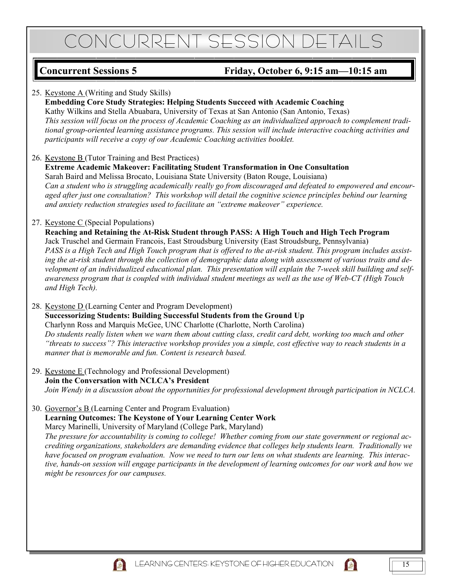## **Concurrent Sessions 5 Friday, October 6, 9:15 am—10:15 am**

### 25. Keystone A (Writing and Study Skills)

### **Embedding Core Study Strategies: Helping Students Succeed with Academic Coaching**

Kathy Wilkins and Stella Abuabara, University of Texas at San Antonio (San Antonio, Texas) *This session will focus on the process of Academic Coaching as an individualized approach to complement traditional group-oriented learning assistance programs. This session will include interactive coaching activities and participants will receive a copy of our Academic Coaching activities booklet.* 

#### 26. Keystone B (Tutor Training and Best Practices)

**Extreme Academic Makeover: Facilitating Student Transformation in One Consultation**  Sarah Baird and Melissa Brocato, Louisiana State University (Baton Rouge, Louisiana) *Can a student who is struggling academically really go from discouraged and defeated to empowered and encouraged after just one consultation? This workshop will detail the cognitive science principles behind our learning and anxiety reduction strategies used to facilitate an "extreme makeover" experience.* 

### 27. Keystone C (Special Populations)

**Reaching and Retaining the At-Risk Student through PASS: A High Touch and High Tech Program**  Jack Truschel and Germain Francois, East Stroudsburg University (East Stroudsburg, Pennsylvania) *PASS is a High Tech and High Touch program that is offered to the at-risk student. This program includes assisting the at-risk student through the collection of demographic data along with assessment of various traits and development of an individualized educational plan. This presentation will explain the 7-week skill building and selfawareness program that is coupled with individual student meetings as well as the use of Web-CT (High Touch and High Tech).* 

### 28. Keystone D (Learning Center and Program Development)

**Successorizing Students: Building Successful Students from the Ground Up**  Charlynn Ross and Marquis McGee, UNC Charlotte (Charlotte, North Carolina) *Do students really listen when we warn them about cutting class, credit card debt, working too much and other "threats to success"? This interactive workshop provides you a simple, cost effective way to reach students in a manner that is memorable and fun. Content is research based.* 

- 29. Keystone E (Technology and Professional Development) **Join the Conversation with NCLCA's President**  *Join Wendy in a discussion about the opportunities for professional development through participation in NCLCA.*
- 30. Governor's B (Learning Center and Program Evaluation) **Learning Outcomes: The Keystone of Your Learning Center Work**

Marcy Marinelli, University of Maryland (College Park, Maryland)

*The pressure for accountability is coming to college! Whether coming from our state government or regional accrediting organizations, stakeholders are demanding evidence that colleges help students learn. Traditionally we have focused on program evaluation. Now we need to turn our lens on what students are learning. This interactive, hands-on session will engage participants in the development of learning outcomes for our work and how we might be resources for our campuses.* 

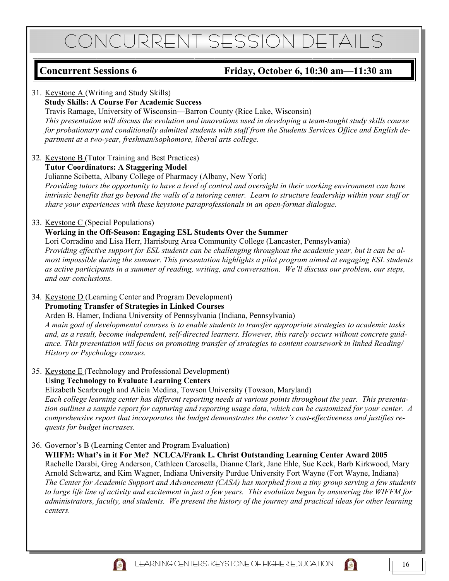### **Concurrent Sessions 6 Friday, October 6, 10:30 am—11:30 am**

#### 31. Keystone A (Writing and Study Skills) **Study Skills: A Course For Academic Success**  Travis Ramage, University of Wisconsin—Barron County (Rice Lake, Wisconsin) *This presentation will discuss the evolution and innovations used in developing a team-taught study skills course for probationary and conditionally admitted students with staff from the Students Services Office and English department at a two-year, freshman/sophomore, liberal arts college.*  32. Keystone B (Tutor Training and Best Practices) **Tutor Coordinators: A Staggering Model**  Julianne Scibetta, Albany College of Pharmacy (Albany, New York) *Providing tutors the opportunity to have a level of control and oversight in their working environment can have intrinsic benefits that go beyond the walls of a tutoring center. Learn to structure leadership within your staff or share your experiences with these keystone paraprofessionals in an open-format dialogue.*  33. Keystone C (Special Populations) **Working in the Off-Season: Engaging ESL Students Over the Summer**  Lori Corradino and Lisa Herr, Harrisburg Area Community College (Lancaster, Pennsylvania) *Providing effective support for ESL students can be challenging throughout the academic year, but it can be almost impossible during the summer. This presentation highlights a pilot program aimed at engaging ESL students as active participants in a summer of reading, writing, and conversation. We'll discuss our problem, our steps, and our conclusions.*  34. Keystone D (Learning Center and Program Development) **Promoting Transfer of Strategies in Linked Courses**  Arden B. Hamer, Indiana University of Pennsylvania (Indiana, Pennsylvania) *A main goal of developmental courses is to enable students to transfer appropriate strategies to academic tasks and, as a result, become independent, self-directed learners. However, this rarely occurs without concrete guidance. This presentation will focus on promoting transfer of strategies to content coursework in linked Reading/ History or Psychology courses.*  35. Keystone E (Technology and Professional Development) **Using Technology to Evaluate Learning Centers**  Elizabeth Scarbrough and Alicia Medina, Towson University (Towson, Maryland) *Each college learning center has different reporting needs at various points throughout the year. This presentation outlines a sample report for capturing and reporting usage data, which can be customized for your center. A comprehensive report that incorporates the budget demonstrates the center's cost-effectiveness and justifies requests for budget increases.*  36. Governor's B (Learning Center and Program Evaluation) **WIIFM: What's in it For Me? NCLCA/Frank L. Christ Outstanding Learning Center Award 2005**  Rachelle Darabi, Greg Anderson, Cathleen Carosella, Dianne Clark, Jane Ehle, Sue Keck, Barb Kirkwood, Mary Arnold Schwartz, and Kim Wagner, Indiana University Purdue University Fort Wayne (Fort Wayne, Indiana) *The Center for Academic Support and Advancement (CASA) has morphed from a tiny group serving a few students to large life line of activity and excitement in just a few years. This evolution began by answering the WIFFM for administrators, faculty, and students. We present the history of the journey and practical ideas for other learning centers.*



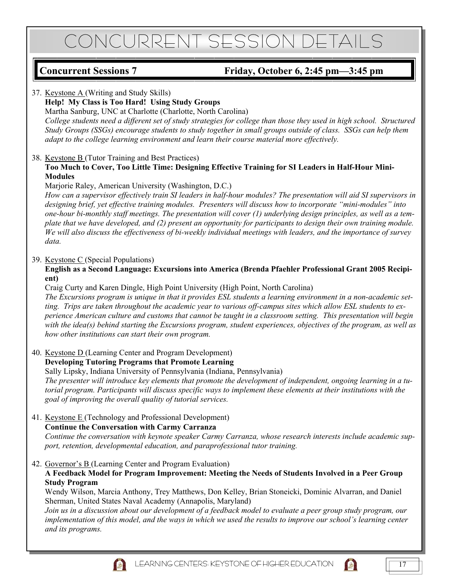### **Concurrent Sessions 7 Friday, October 6, 2:45 pm—3:45 pm**

## 37. Keystone A (Writing and Study Skills)

#### **Help! My Class is Too Hard! Using Study Groups**

Martha Sanburg, UNC at Charlotte (Charlotte, North Carolina) *College students need a different set of study strategies for college than those they used in high school. Structured Study Groups (SSGs) encourage students to study together in small groups outside of class. SSGs can help them adapt to the college learning environment and learn their course material more effectively.* 

#### 38. Keystone B (Tutor Training and Best Practices)

#### **Too Much to Cover, Too Little Time: Designing Effective Training for SI Leaders in Half-Hour Mini-Modules**

Marjorie Raley, American University (Washington, D.C.)

*How can a supervisor effectively train SI leaders in half-hour modules? The presentation will aid SI supervisors in designing brief, yet effective training modules. Presenters will discuss how to incorporate "mini-modules" into one-hour bi-monthly staff meetings. The presentation will cover (1) underlying design principles, as well as a template that we have developed, and (2) present an opportunity for participants to design their own training module. We will also discuss the effectiveness of bi-weekly individual meetings with leaders, and the importance of survey data.* 

#### 39. Keystone C (Special Populations)

**English as a Second Language: Excursions into America (Brenda Pfaehler Professional Grant 2005 Recipient)** 

#### Craig Curty and Karen Dingle, High Point University (High Point, North Carolina)

*The Excursions program is unique in that it provides ESL students a learning environment in a non-academic setting. Trips are taken throughout the academic year to various off-campus sites which allow ESL students to experience American culture and customs that cannot be taught in a classroom setting. This presentation will begin with the idea(s) behind starting the Excursions program, student experiences, objectives of the program, as well as how other institutions can start their own program.* 

#### 40. Keystone D (Learning Center and Program Development)

#### **Developing Tutoring Programs that Promote Learning**

Sally Lipsky, Indiana University of Pennsylvania (Indiana, Pennsylvania)

*The presenter will introduce key elements that promote the development of independent, ongoing learning in a tutorial program. Participants will discuss specific ways to implement these elements at their institutions with the goal of improving the overall quality of tutorial services.* 

### 41. Keystone E (Technology and Professional Development)

#### **Continue the Conversation with Carmy Carranza**

*Continue the conversation with keynote speaker Carmy Carranza, whose research interests include academic support, retention, developmental education, and paraprofessional tutor training.* 

#### 42. Governor's B (Learning Center and Program Evaluation)

#### **A Feedback Model for Program Improvement: Meeting the Needs of Students Involved in a Peer Group Study Program**

Wendy Wilson, Marcia Anthony, Trey Matthews, Don Kelley, Brian Stoneicki, Dominic Alvarran, and Daniel Sherman, United States Naval Academy (Annapolis, Maryland)

*Join us in a discussion about our development of a feedback model to evaluate a peer group study program, our implementation of this model, and the ways in which we used the results to improve our school's learning center and its programs.* 



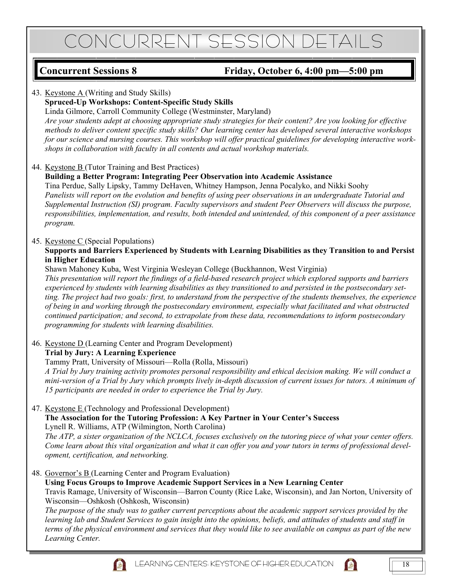### **Concurrent Sessions 8 Friday, October 6, 4:00 pm—5:00 pm**

#### 43. Keystone A (Writing and Study Skills)

#### **Spruced-Up Workshops: Content-Specific Study Skills**

Linda Gilmore, Carroll Community College (Westminster, Maryland) *Are your students adept at choosing appropriate study strategies for their content? Are you looking for effective methods to deliver content specific study skills? Our learning center has developed several interactive workshops for our science and nursing courses. This workshop will offer practical guidelines for developing interactive workshops in collaboration with faculty in all contents and actual workshop materials.* 

#### 44. Keystone B (Tutor Training and Best Practices)

#### **Building a Better Program: Integrating Peer Observation into Academic Assistance**

Tina Perdue, Sally Lipsky, Tammy DeHaven, Whitney Hampson, Jenna Pocalyko, and Nikki Soohy *Panelists will report on the evolution and benefits of using peer observations in an undergraduate Tutorial and Supplemental Instruction (SI) program. Faculty supervisors and student Peer Observers will discuss the purpose, responsibilities, implementation, and results, both intended and unintended, of this component of a peer assistance program.* 

#### 45. Keystone C (Special Populations)

#### **Supports and Barriers Experienced by Students with Learning Disabilities as they Transition to and Persist in Higher Education**

Shawn Mahoney Kuba, West Virginia Wesleyan College (Buckhannon, West Virginia)

*This presentation will report the findings of a field-based research project which explored supports and barriers experienced by students with learning disabilities as they transitioned to and persisted in the postsecondary setting. The project had two goals: first, to understand from the perspective of the students themselves, the experience of being in and working through the postsecondary environment, especially what facilitated and what obstructed continued participation; and second, to extrapolate from these data, recommendations to inform postsecondary programming for students with learning disabilities.* 

#### 46. Keystone D (Learning Center and Program Development)

#### **Trial by Jury: A Learning Experience**

Tammy Pratt, University of Missouri—Rolla (Rolla, Missouri)

*A Trial by Jury training activity promotes personal responsibility and ethical decision making. We will conduct a mini-version of a Trial by Jury which prompts lively in-depth discussion of current issues for tutors. A minimum of 15 participants are needed in order to experience the Trial by Jury.* 

#### 47. Keystone E (Technology and Professional Development)

#### **The Association for the Tutoring Profession: A Key Partner in Your Center's Success**  Lynell R. Williams, ATP (Wilmington, North Carolina)

*The ATP, a sister organization of the NCLCA, focuses exclusively on the tutoring piece of what your center offers. Come learn about this vital organization and what it can offer you and your tutors in terms of professional development, certification, and networking.* 

#### 48. Governor's B (Learning Center and Program Evaluation)

#### **Using Focus Groups to Improve Academic Support Services in a New Learning Center**

Travis Ramage, University of Wisconsin—Barron County (Rice Lake, Wisconsin), and Jan Norton, University of Wisconsin—Oshkosh (Oshkosh, Wisconsin)

*The purpose of the study was to gather current perceptions about the academic support services provided by the learning lab and Student Services to gain insight into the opinions, beliefs, and attitudes of students and staff in terms of the physical environment and services that they would like to see available on campus as part of the new Learning Center.*